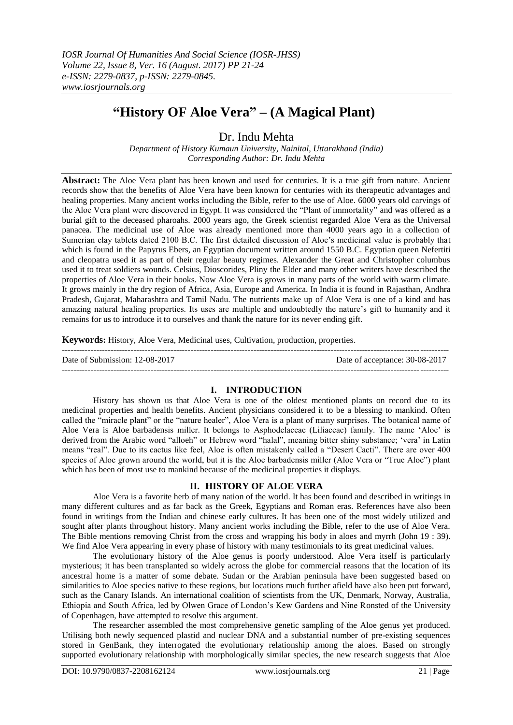# **"History OF Aloe Vera" – (A Magical Plant)**

Dr. Indu Mehta

*Department of History Kumaun University, Nainital, Uttarakhand (India) Corresponding Author: Dr. Indu Mehta*

**Abstract:** The Aloe Vera plant has been known and used for centuries. It is a true gift from nature. Ancient records show that the benefits of Aloe Vera have been known for centuries with its therapeutic advantages and healing properties. Many ancient works including the Bible, refer to the use of Aloe. 6000 years old carvings of the Aloe Vera plant were discovered in Egypt. It was considered the "Plant of immortality" and was offered as a burial gift to the deceased pharoahs. 2000 years ago, the Greek scientist regarded Aloe Vera as the Universal panacea. The medicinal use of Aloe was already mentioned more than 4000 years ago in a collection of Sumerian clay tablets dated 2100 B.C. The first detailed discussion of Aloe's medicinal value is probably that which is found in the Papyrus Ebers, an Egyptian document written around 1550 B.C. Egyptian queen Nefertiti and cleopatra used it as part of their regular beauty regimes. Alexander the Great and Christopher columbus used it to treat soldiers wounds. Celsius, Dioscorides, Pliny the Elder and many other writers have described the properties of Aloe Vera in their books. Now Aloe Vera is grows in many parts of the world with warm climate. It grows mainly in the dry region of Africa, Asia, Europe and America. In India it is found in Rajasthan, Andhra Pradesh, Gujarat, Maharashtra and Tamil Nadu. The nutrients make up of Aloe Vera is one of a kind and has amazing natural healing properties. Its uses are multiple and undoubtedly the nature's gift to humanity and it remains for us to introduce it to ourselves and thank the nature for its never ending gift.

**Keywords:** History, Aloe Vera, Medicinal uses, Cultivation, production, properties.

| Date of Submission: 12-08-2017 | Date of acceptance: 30-08-2017 |
|--------------------------------|--------------------------------|
|                                |                                |

# **I. INTRODUCTION**

History has shown us that Aloe Vera is one of the oldest mentioned plants on record due to its medicinal properties and health benefits. Ancient physicians considered it to be a blessing to mankind. Often called the "miracle plant" or the "nature healer", Aloe Vera is a plant of many surprises. The botanical name of Aloe Vera is Aloe barbadensis miller. It belongs to Asphodelaceae (Liliaceac) family. The name 'Aloe' is derived from the Arabic word "alloeh" or Hebrew word "halal", meaning bitter shiny substance; 'vera' in Latin means "real". Due to its cactus like feel, Aloe is often mistakenly called a "Desert Cacti". There are over 400 species of Aloe grown around the world, but it is the Aloe barbadensis miller (Aloe Vera or "True Aloe") plant which has been of most use to mankind because of the medicinal properties it displays.

# **II. HISTORY OF ALOE VERA**

Aloe Vera is a favorite herb of many nation of the world. It has been found and described in writings in many different cultures and as far back as the Greek, Egyptians and Roman eras. References have also been found in writings from the Indian and chinese early cultures. It has been one of the most widely utilized and sought after plants throughout history. Many ancient works including the Bible, refer to the use of Aloe Vera. The Bible mentions removing Christ from the cross and wrapping his body in aloes and myrrh (John 19 : 39). We find Aloe Vera appearing in every phase of history with many testimonials to its great medicinal values.

The evolutionary history of the Aloe genus is poorly understood. Aloe Vera itself is particularly mysterious; it has been transplanted so widely across the globe for commercial reasons that the location of its ancestral home is a matter of some debate. Sudan or the Arabian peninsula have been suggested based on similarities to Aloe species native to these regions, but locations much further afield have also been put forward, such as the Canary Islands. An international coalition of scientists from the UK, Denmark, Norway, Australia, Ethiopia and South Africa, led by Olwen Grace of London's Kew Gardens and Nine Ronsted of the University of Copenhagen, have attempted to resolve this argument.

The researcher assembled the most comprehensive genetic sampling of the Aloe genus yet produced. Utilising both newly sequenced plastid and nuclear DNA and a substantial number of pre-existing sequences stored in GenBank, they interrogated the evolutionary relationship among the aloes. Based on strongly supported evolutionary relationship with morphologically similar species, the new research suggests that Aloe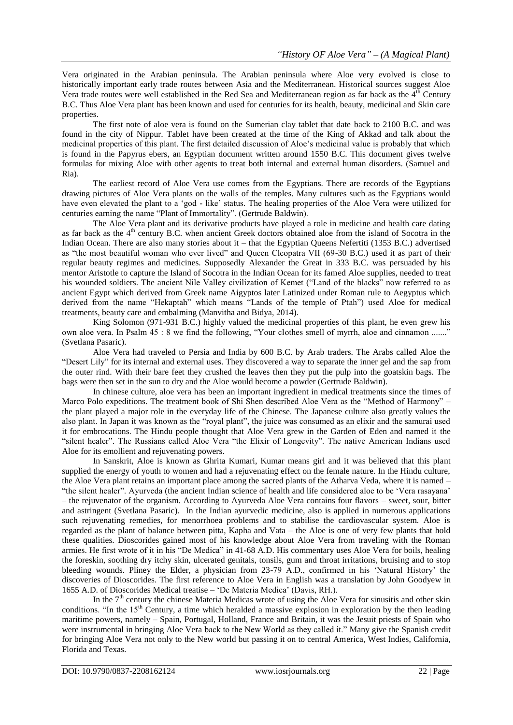Vera originated in the Arabian peninsula. The Arabian peninsula where Aloe very evolved is close to historically important early trade routes between Asia and the Mediterranean. Historical sources suggest Aloe Vera trade routes were well established in the Red Sea and Mediterranean region as far back as the  $4<sup>th</sup>$  Century B.C. Thus Aloe Vera plant has been known and used for centuries for its health, beauty, medicinal and Skin care properties.

The first note of aloe vera is found on the Sumerian clay tablet that date back to 2100 B.C. and was found in the city of Nippur. Tablet have been created at the time of the King of Akkad and talk about the medicinal properties of this plant. The first detailed discussion of Aloe's medicinal value is probably that which is found in the Papyrus ebers, an Egyptian document written around 1550 B.C. This document gives twelve formulas for mixing Aloe with other agents to treat both internal and external human disorders. (Samuel and Ria).

The earliest record of Aloe Vera use comes from the Egyptians. There are records of the Egyptians drawing pictures of Aloe Vera plants on the walls of the temples. Many cultures such as the Egyptians would have even elevated the plant to a 'god - like' status. The healing properties of the Aloe Vera were utilized for centuries earning the name "Plant of Immortality". (Gertrude Baldwin).

The Aloe Vera plant and its derivative products have played a role in medicine and health care dating as far back as the 4th century B.C. when ancient Greek doctors obtained aloe from the island of Socotra in the Indian Ocean. There are also many stories about it – that the Egyptian Queens Nefertiti (1353 B.C.) advertised as "the most beautiful woman who ever lived" and Queen Cleopatra VII (69-30 B.C.) used it as part of their regular beauty regimes and medicines. Supposedly Alexander the Great in 333 B.C. was persuaded by his mentor Aristotle to capture the Island of Socotra in the Indian Ocean for its famed Aloe supplies, needed to treat his wounded soldiers. The ancient Nile Valley civilization of Kemet ("Land of the blacks" now referred to as ancient Egypt which derived from Greek name Aigyptos later Latinized under Roman rule to Aegyptus which derived from the name "Hekaptah" which means "Lands of the temple of Ptah") used Aloe for medical treatments, beauty care and embalming (Manvitha and Bidya, 2014).

King Solomon (971-931 B.C.) highly valued the medicinal properties of this plant, he even grew his own aloe vera. In Psalm 45 : 8 we find the following, "Your clothes smell of myrrh, aloe and cinnamon ......." (Svetlana Pasaric).

Aloe Vera had traveled to Persia and India by 600 B.C. by Arab traders. The Arabs called Aloe the "Desert Lily" for its internal and external uses. They discovered a way to separate the inner gel and the sap from the outer rind. With their bare feet they crushed the leaves then they put the pulp into the goatskin bags. The bags were then set in the sun to dry and the Aloe would become a powder (Gertrude Baldwin).

In chinese culture, aloe vera has been an important ingredient in medical treatments since the times of Marco Polo expeditions. The treatment book of Shi Shen described Aloe Vera as the "Method of Harmony" – the plant played a major role in the everyday life of the Chinese. The Japanese culture also greatly values the also plant. In Japan it was known as the "royal plant", the juice was consumed as an elixir and the samurai used it for embrocations. The Hindu people thought that Aloe Vera grew in the Garden of Eden and named it the "silent healer". The Russians called Aloe Vera "the Elixir of Longevity". The native American Indians used Aloe for its emollient and rejuvenating powers.

In Sanskrit, Aloe is known as Ghrita Kumari, Kumar means girl and it was believed that this plant supplied the energy of youth to women and had a rejuvenating effect on the female nature. In the Hindu culture, the Aloe Vera plant retains an important place among the sacred plants of the Atharva Veda, where it is named – "the silent healer". Ayurveda (the ancient Indian science of health and life considered aloe to be 'Vera rasayana' – the rejuvenator of the organism. According to Ayurveda Aloe Vera contains four flavors – sweet, sour, bitter and astringent (Svetlana Pasaric). In the Indian ayurvedic medicine, also is applied in numerous applications such rejuvenating remedies, for menorrhoea problems and to stabilise the cardiovascular system. Aloe is regarded as the plant of balance between pitta, Kapha and Vata – the Aloe is one of very few plants that hold these qualities. Dioscorides gained most of his knowledge about Aloe Vera from traveling with the Roman armies. He first wrote of it in his "De Medica" in 41-68 A.D. His commentary uses Aloe Vera for boils, healing the foreskin, soothing dry itchy skin, ulcerated genitals, tonsils, gum and throat irritations, bruising and to stop bleeding wounds. Pliney the Elder, a physician from 23-79 A.D., confirmed in his 'Natural History' the discoveries of Dioscorides. The first reference to Aloe Vera in English was a translation by John Goodyew in 1655 A.D. of Dioscorides Medical treatise – 'De Materia Medica' (Davis, RH.).

In the  $7<sup>th</sup>$  century the chinese Materia Medicas wrote of using the Aloe Vera for sinusitis and other skin conditions. "In the 15<sup>th</sup> Century, a time which heralded a massive explosion in exploration by the then leading maritime powers, namely – Spain, Portugal, Holland, France and Britain, it was the Jesuit priests of Spain who were instrumental in bringing Aloe Vera back to the New World as they called it." Many give the Spanish credit for bringing Aloe Vera not only to the New world but passing it on to central America, West Indies, California, Florida and Texas.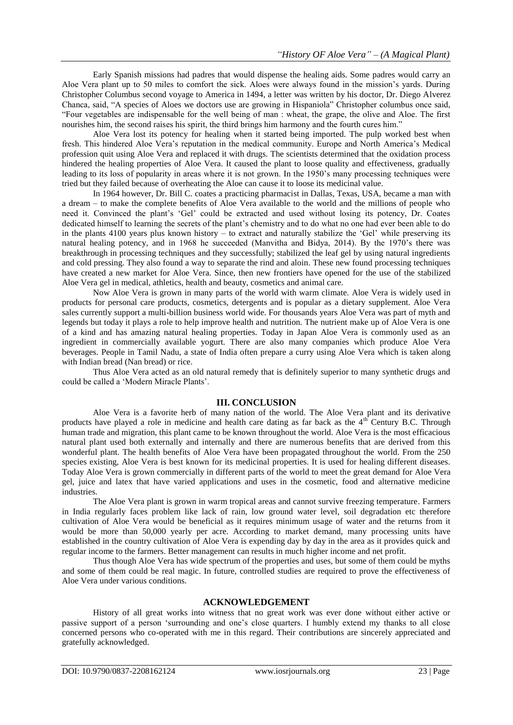Early Spanish missions had padres that would dispense the healing aids. Some padres would carry an Aloe Vera plant up to 50 miles to comfort the sick. Aloes were always found in the mission's yards. During Christopher Columbus second voyage to America in 1494, a letter was written by his doctor, Dr. Diego Alverez Chanca, said, "A species of Aloes we doctors use are growing in Hispaniola" Christopher columbus once said, "Four vegetables are indispensable for the well being of man : wheat, the grape, the olive and Aloe. The first nourishes him, the second raises his spirit, the third brings him harmony and the fourth cures him."

Aloe Vera lost its potency for healing when it started being imported. The pulp worked best when fresh. This hindered Aloe Vera's reputation in the medical community. Europe and North America's Medical profession quit using Aloe Vera and replaced it with drugs. The scientists determined that the oxidation process hindered the healing properties of Aloe Vera. It caused the plant to loose quality and effectiveness, gradually leading to its loss of popularity in areas where it is not grown. In the 1950's many processing techniques were tried but they failed because of overheating the Aloe can cause it to loose its medicinal value.

In 1964 however, Dr. Bill C. coates a practicing pharmacist in Dallas, Texas, USA, became a man with a dream – to make the complete benefits of Aloe Vera available to the world and the millions of people who need it. Convinced the plant's 'Gel' could be extracted and used without losing its potency, Dr. Coates dedicated himself to learning the secrets of the plant's chemistry and to do what no one had ever been able to do in the plants 4100 years plus known history – to extract and naturally stabilize the 'Gel' while preserving its natural healing potency, and in 1968 he succeeded (Manvitha and Bidya, 2014). By the 1970's there was breakthrough in processing techniques and they successfully; stabilized the leaf gel by using natural ingredients and cold pressing. They also found a way to separate the rind and aloin. These new found processing techniques have created a new market for Aloe Vera. Since, then new frontiers have opened for the use of the stabilized Aloe Vera gel in medical, athletics, health and beauty, cosmetics and animal care.

Now Aloe Vera is grown in many parts of the world with warm climate. Aloe Vera is widely used in products for personal care products, cosmetics, detergents and is popular as a dietary supplement. Aloe Vera sales currently support a multi-billion business world wide. For thousands years Aloe Vera was part of myth and legends but today it plays a role to help improve health and nutrition. The nutrient make up of Aloe Vera is one of a kind and has amazing natural healing properties. Today in Japan Aloe Vera is commonly used as an ingredient in commercially available yogurt. There are also many companies which produce Aloe Vera beverages. People in Tamil Nadu, a state of India often prepare a curry using Aloe Vera which is taken along with Indian bread (Nan bread) or rice.

Thus Aloe Vera acted as an old natural remedy that is definitely superior to many synthetic drugs and could be called a 'Modern Miracle Plants'.

## **III. CONCLUSION**

Aloe Vera is a favorite herb of many nation of the world. The Aloe Vera plant and its derivative products have played a role in medicine and health care dating as far back as the  $4<sup>th</sup>$  Century B.C. Through human trade and migration, this plant came to be known throughout the world. Aloe Vera is the most efficacious natural plant used both externally and internally and there are numerous benefits that are derived from this wonderful plant. The health benefits of Aloe Vera have been propagated throughout the world. From the 250 species existing, Aloe Vera is best known for its medicinal properties. It is used for healing different diseases. Today Aloe Vera is grown commercially in different parts of the world to meet the great demand for Aloe Vera gel, juice and latex that have varied applications and uses in the cosmetic, food and alternative medicine industries.

The Aloe Vera plant is grown in warm tropical areas and cannot survive freezing temperature. Farmers in India regularly faces problem like lack of rain, low ground water level, soil degradation etc therefore cultivation of Aloe Vera would be beneficial as it requires minimum usage of water and the returns from it would be more than 50,000 yearly per acre. According to market demand, many processing units have established in the country cultivation of Aloe Vera is expending day by day in the area as it provides quick and regular income to the farmers. Better management can results in much higher income and net profit.

Thus though Aloe Vera has wide spectrum of the properties and uses, but some of them could be myths and some of them could be real magic. In future, controlled studies are required to prove the effectiveness of Aloe Vera under various conditions.

#### **ACKNOWLEDGEMENT**

History of all great works into witness that no great work was ever done without either active or passive support of a person 'surrounding and one's close quarters. I humbly extend my thanks to all close concerned persons who co-operated with me in this regard. Their contributions are sincerely appreciated and gratefully acknowledged.